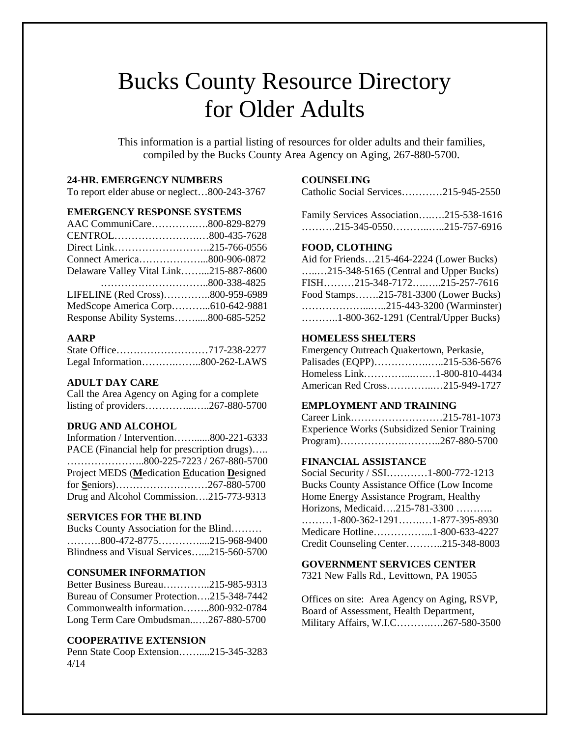# Bucks County Resource Directory for Older Adults

This information is a partial listing of resources for older adults and their families, compiled by the Bucks County Area Agency on Aging, 267-880-5700.

#### **24-HR. EMERGENCY NUMBERS**

To report elder abuse or neglect…800-243-3767

# **EMERGENCY RESPONSE SYSTEMS**

| AAC CommuniCare800-829-8279            |  |
|----------------------------------------|--|
|                                        |  |
| Direct Link215-766-0556                |  |
| Connect America800-906-0872            |  |
| Delaware Valley Vital Link215-887-8600 |  |
|                                        |  |
| LIFELINE (Red Cross)800-959-6989       |  |
| MedScope America Corp610-642-9881      |  |
| Response Ability Systems800-685-5252   |  |

## **AARP**

| Legal Information800-262-LAWS |  |
|-------------------------------|--|

#### **ADULT DAY CARE**

Call the Area Agency on Aging for a complete listing of providers…………...…..267-880-5700

# **DRUG AND ALCOHOL**

Information / Intervention……......800-221-6333 PACE (Financial help for prescription drugs)….. …………………..800-225-7223 / 267-880-5700 Project MEDS (**M**edication **E**ducation **D**esigned for **S**eniors)………………………267-880-5700 Drug and Alcohol Commission….215-773-9313

## **SERVICES FOR THE BLIND**

| Bucks County Association for the Blind                                                      |  |
|---------------------------------------------------------------------------------------------|--|
| $\ldots \ldots \ldots 800 - 472 - 8775 \ldots \ldots \ldots \ldots \ldots 215 - 968 - 9400$ |  |
| Blindness and Visual Services215-560-5700                                                   |  |

#### **CONSUMER INFORMATION**

Better Business Bureau…………..215-985-9313 Bureau of Consumer Protection….215-348-7442 Commonwealth information……..800-932-0784 Long Term Care Ombudsman..….267-880-5700

## **COOPERATIVE EXTENSION**

Penn State Coop Extension……....215-345-3283 4/14

## **COUNSELING**

Catholic Social Services…………215-945-2550

Family Services Association….….215-538-1616 ……….215-345-0550………..…..215-757-6916

### **FOOD, CLOTHING**

Aid for Friends…215-464-2224 (Lower Bucks) …..…215-348-5165 (Central and Upper Bucks) FISH………215-348-7172….…..215-257-7616 Food Stamps…….215-781-3300 (Lower Bucks) ………………...…..215-443-3200 (Warminster) ………..1-800-362-1291 (Central/Upper Bucks)

# **HOMELESS SHELTERS**

| Emergency Outreach Quakertown, Perkasie, |
|------------------------------------------|
| Palisades (EQPP)215-536-5676             |
| Homeless Link1-800-810-4434              |
| American Red Cross215-949-1727           |
|                                          |

#### **EMPLOYMENT AND TRAINING**

| Career Link215-781-1073                              |  |
|------------------------------------------------------|--|
| <b>Experience Works (Subsidized Senior Training)</b> |  |
|                                                      |  |

## **FINANCIAL ASSISTANCE**

Social Security / SSI…………1-800-772-1213 Bucks County Assistance Office (Low Income Home Energy Assistance Program, Healthy Horizons, Medicaid….215-781-3300 ……….. ………1-800-362-1291…….…1-877-395-8930 Medicare Hotline……………...1-800-633-4227 Credit Counseling Center………..215-348-8003

#### **GOVERNMENT SERVICES CENTER**

7321 New Falls Rd., Levittown, PA 19055

Offices on site: Area Agency on Aging, RSVP, Board of Assessment, Health Department, Military Affairs, W.I.C……….….267-580-3500